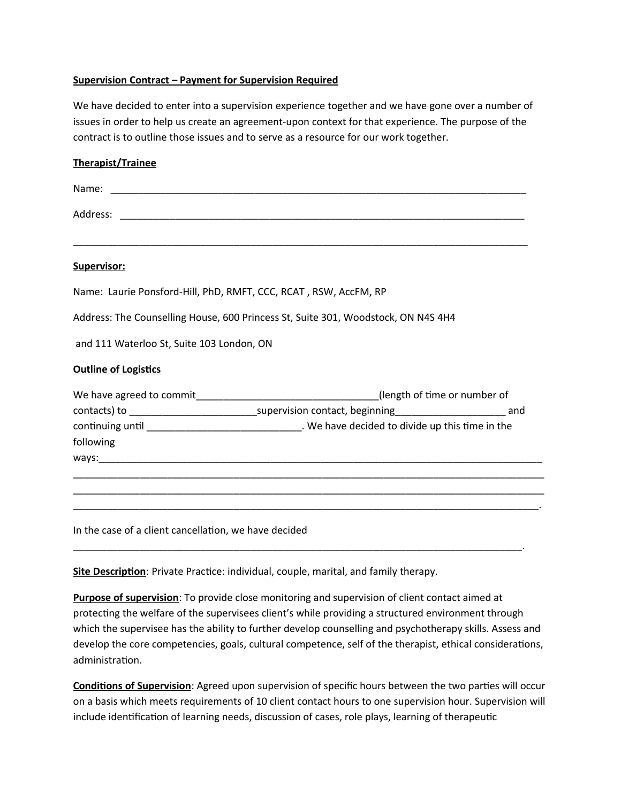## **Supervision Contract – Payment for Supervision Required**

We have decided to enter into a supervision experience together and we have gone over a number of issues in order to help us create an agreement-upon context for that experience. The purpose of the contract is to outline those issues and to serve as a resource for our work together.

| <b>Therapist/Trainee</b>                                                                                                                                                                              |
|-------------------------------------------------------------------------------------------------------------------------------------------------------------------------------------------------------|
|                                                                                                                                                                                                       |
|                                                                                                                                                                                                       |
| Supervisor:                                                                                                                                                                                           |
| Name: Laurie Ponsford-Hill, PhD, RMFT, CCC, RCAT, RSW, AccFM, RP                                                                                                                                      |
| Address: The Counselling House, 600 Princess St, Suite 301, Woodstock, ON N4S 4H4                                                                                                                     |
| and 111 Waterloo St, Suite 103 London, ON                                                                                                                                                             |
| <b>Outline of Logistics</b>                                                                                                                                                                           |
| We have agreed to commit_________________________________(length of time or number of<br>contacts) to __________________________________supervision contact, beginning____________________________and |
| continuing until __________________________________. We have decided to divide up this time in the<br>following                                                                                       |
|                                                                                                                                                                                                       |
| In the case of a client cancellation, we have decided                                                                                                                                                 |

**Site Description**: Private Practice: individual, couple, marital, and family therapy.

**Purpose of supervision**: To provide close monitoring and supervision of client contact aimed at protecting the welfare of the supervisees client's while providing a structured environment through which the supervisee has the ability to further develop counselling and psychotherapy skills. Assess and develop the core competencies, goals, cultural competence, self of the therapist, ethical considerations, administration.

\_\_\_\_\_\_\_\_\_\_\_\_\_\_\_\_\_\_\_\_\_\_\_\_\_\_\_\_\_\_\_\_\_\_\_\_\_\_\_\_\_\_\_\_\_\_\_\_\_\_\_\_\_\_\_\_\_\_\_\_\_\_\_\_\_\_\_\_\_\_\_\_\_\_\_\_\_\_\_\_\_.

**Conditions of Supervision**: Agreed upon supervision of specific hours between the two parties will occur on a basis which meets requirements of 10 client contact hours to one supervision hour. Supervision will include identification of learning needs, discussion of cases, role plays, learning of therapeutic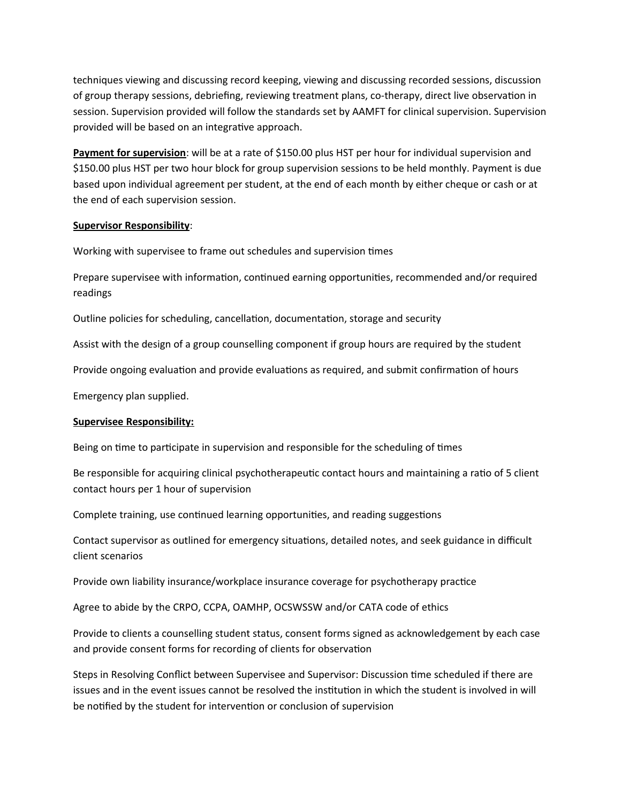techniques viewing and discussing record keeping, viewing and discussing recorded sessions, discussion of group therapy sessions, debriefing, reviewing treatment plans, co-therapy, direct live observation in session. Supervision provided will follow the standards set by AAMFT for clinical supervision. Supervision provided will be based on an integrative approach.

**Payment for supervision**: will be at a rate of \$150.00 plus HST per hour for individual supervision and \$150.00 plus HST per two hour block for group supervision sessions to be held monthly. Payment is due based upon individual agreement per student, at the end of each month by either cheque or cash or at the end of each supervision session.

## **Supervisor Responsibility**:

Working with supervisee to frame out schedules and supervision times

Prepare supervisee with information, continued earning opportunities, recommended and/or required readings

Outline policies for scheduling, cancellation, documentation, storage and security

Assist with the design of a group counselling component if group hours are required by the student

Provide ongoing evaluation and provide evaluations as required, and submit confirmation of hours

Emergency plan supplied.

## **Supervisee Responsibility:**

Being on time to participate in supervision and responsible for the scheduling of times

Be responsible for acquiring clinical psychotherapeutic contact hours and maintaining a ratio of 5 client contact hours per 1 hour of supervision

Complete training, use continued learning opportunities, and reading suggestions

Contact supervisor as outlined for emergency situations, detailed notes, and seek guidance in difficult client scenarios

Provide own liability insurance/workplace insurance coverage for psychotherapy practice

Agree to abide by the CRPO, CCPA, OAMHP, OCSWSSW and/or CATA code of ethics

Provide to clients a counselling student status, consent forms signed as acknowledgement by each case and provide consent forms for recording of clients for observation

Steps in Resolving Conflict between Supervisee and Supervisor: Discussion time scheduled if there are issues and in the event issues cannot be resolved the institution in which the student is involved in will be notified by the student for intervention or conclusion of supervision